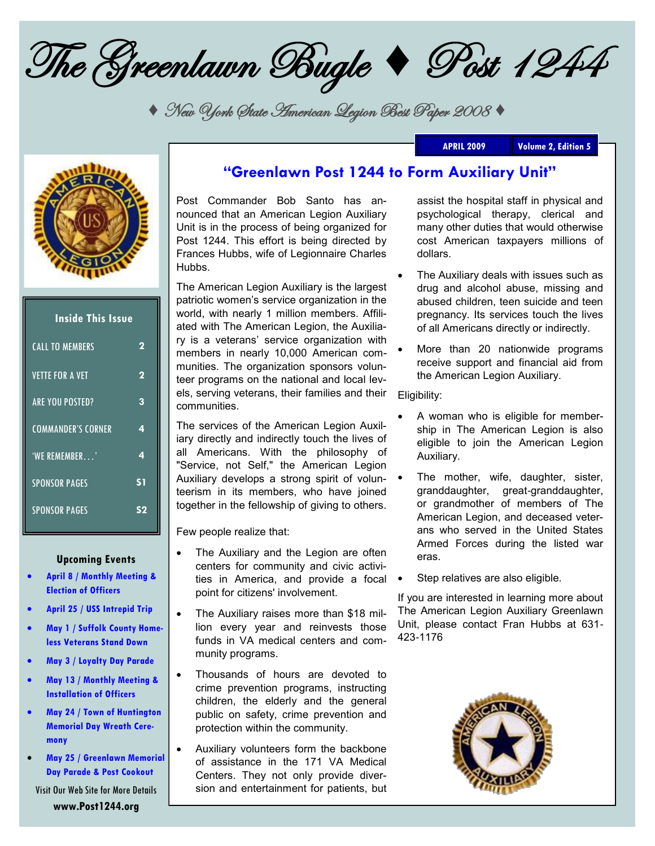The Greenlawn Bugle **♦** Post 1244

**♦** New York State American Legion Best Paper 2008 **♦**

**APRIL 2009 Volume** 



| <b>Inside This Issue</b>  |    |
|---------------------------|----|
| <b>CALL TO MEMBERS</b>    | 2  |
| <b>VETTE FOR A VET</b>    | 2  |
| <b>ARE YOU POSTED?</b>    | 3  |
| <b>COMMANDER'S CORNER</b> | 4  |
| 'WE REMEMBER'             | 4  |
| <b>SPONSOR PAGES</b>      | S1 |
| <b>SPONSOR PAGES</b>      | 82 |

### **Upcoming Events**

- **April 8 / Monthly Meeting & Election of Officers**
- **April 25 / USS Intrepid Trip**
- **May 1 / Suffolk County Homeless Veterans Stand Down**
- **May 3 / Loyalty Day Parade**
- **May 13 / Monthly Meeting & Installation of Officers**
- **May 24 / Town of Huntington Memorial Day Wreath Ceremony**
- **May 25 / Greenlawn Memorial Day Parade & Post Cookout**

Visit Our Web Site for More Details **www.Post1244.org**

## **"Greenlawn Post 1244 to Form Auxiliary Unit"**

Post Commander Bob Santo has announced that an American Legion Auxiliary Unit is in the process of being organized for Post 1244. This effort is being directed by Frances Hubbs, wife of Legionnaire Charles Hubbs.

The American Legion Auxiliary is the largest patriotic women's service organization in the world, with nearly 1 million members. Affiliated with The American Legion, the Auxiliary is a veterans' service organization with members in nearly 10,000 American communities. The organization sponsors volunteer programs on the national and local levels, serving veterans, their families and their Eligibility: communities.

The services of the American Legion Auxiliary directly and indirectly touch the lives of all Americans. With the philosophy of "Service, not Self," the American Legion Auxiliary develops a strong spirit of volunteerism in its members, who have joined together in the fellowship of giving to others.

Few people realize that:

- The Auxiliary and the Legion are often centers for community and civic activities in America, and provide a focal • point for citizens' involvement.
- The Auxiliary raises more than \$18 million every year and reinvests those funds in VA medical centers and community programs.
- Thousands of hours are devoted to crime prevention programs, instructing children, the elderly and the general public on safety, crime prevention and protection within the community.
- Auxiliary volunteers form the backbone of assistance in the 171 VA Medical Centers. They not only provide diversion and entertainment for patients, but

assist the hospital staff in physical and psychological therapy, clerical and many other duties that would otherwise cost American taxpayers millions of dollars.

- The Auxiliary deals with issues such as drug and alcohol abuse, missing and abused children, teen suicide and teen pregnancy. Its services touch the lives of all Americans directly or indirectly.
- More than 20 nationwide programs receive support and financial aid from the American Legion Auxiliary.

- A woman who is eligible for membership in The American Legion is also eligible to join the American Legion Auxiliary.
- The mother, wife, daughter, sister, granddaughter, great-granddaughter, or grandmother of members of The American Legion, and deceased veterans who served in the United States Armed Forces during the listed war eras.
- Step relatives are also eligible.

If you are interested in learning more about The American Legion Auxiliary Greenlawn Unit, please contact Fran Hubbs at 631- 423-1176

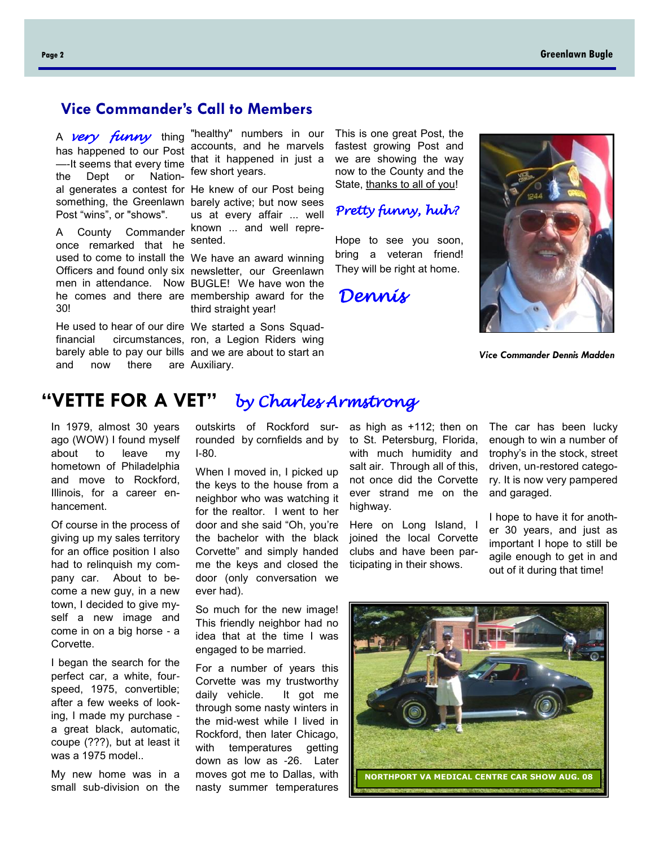### **Vice Commander's Call to Members**

A *very funny* thing has happened to our Post —-It seems that every time the Dept or National generates a contest for He knew of our Post being Post "wins", or "shows".

A County Commander once remarked that he 30!

and now there

"healthy" numbers in our accounts, and he marvels that it happened in just a few short years.

something, the Greenlawn barely active; but now sees us at every affair ... well known ... and well represented.

used to come to install the We have an award winning Officers and found only six newsletter, our Greenlawn men in attendance. Now BUGLE! We have won the he comes and there are membership award for the third straight year!

He used to hear of our dire We started a Sons Squadfinancial circumstances, ron, a Legion Riders wing barely able to pay our bills and we are about to start an are Auxiliary.

This is one great Post, the fastest growing Post and we are showing the way now to the County and the State, thanks to all of you!

### *Pretty funny, huh?*

Hope to see you soon, bring a veteran friend! They will be right at home.

*Dennis* 



*Vice Commander Dennis Madden*

# **"VETTE FOR A VET"** *by Charles Armstrong*

In 1979, almost 30 years ago (WOW) I found myself about to leave my hometown of Philadelphia and move to Rockford, Illinois, for a career enhancement.

Of course in the process of giving up my sales territory for an office position I also had to relinquish my company car. About to become a new guy, in a new town, I decided to give myself a new image and come in on a big horse - a Corvette.

I began the search for the perfect car, a white, fourspeed, 1975, convertible; after a few weeks of looking, I made my purchase a great black, automatic, coupe (???), but at least it was a 1975 model..

My new home was in a small sub-division on the

outskirts of Rockford surrounded by cornfields and by I-80.

When I moved in, I picked up the keys to the house from a neighbor who was watching it for the realtor. I went to her door and she said "Oh, you're the bachelor with the black Corvette" and simply handed me the keys and closed the door (only conversation we ever had).

So much for the new image! This friendly neighbor had no idea that at the time I was engaged to be married.

For a number of years this Corvette was my trustworthy daily vehicle. It got me through some nasty winters in the mid-west while I lived in Rockford, then later Chicago, with temperatures getting down as low as -26. Later moves got me to Dallas, with nasty summer temperatures as high as +112; then on to St. Petersburg, Florida, with much humidity and salt air. Through all of this, not once did the Corvette ever strand me on the highway.

Here on Long Island, I joined the local Corvette clubs and have been participating in their shows.

The car has been lucky enough to win a number of trophy's in the stock, street driven, un-restored category. It is now very pampered and garaged.

I hope to have it for another 30 years, and just as important I hope to still be agile enough to get in and out of it during that time!

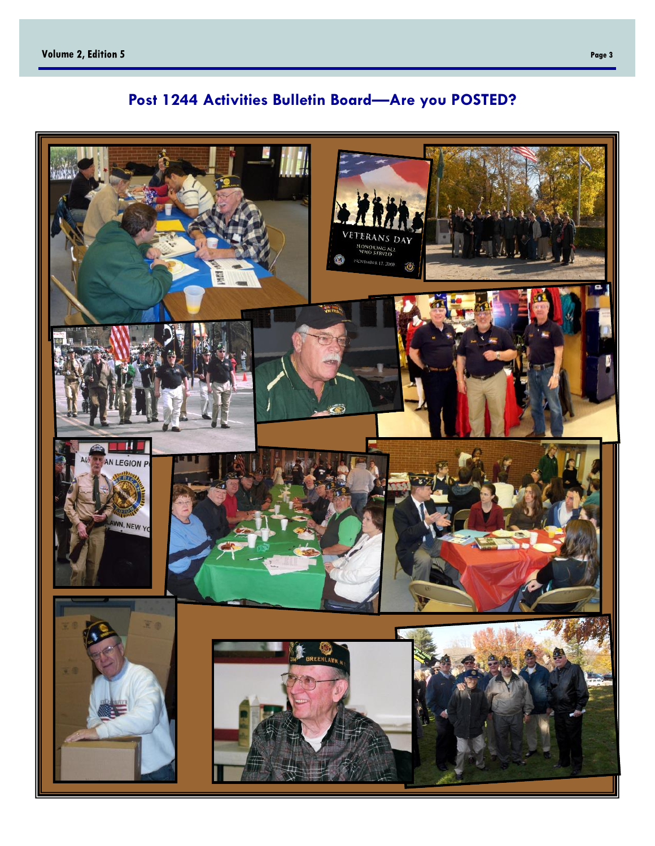# **Post 1244 Activities Bulletin Board—Are you POSTED?**